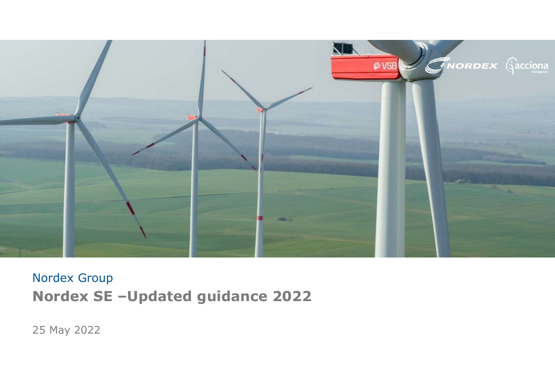

#### Nordex Group Nordex SE –Updated guidance 2022

25 May 2022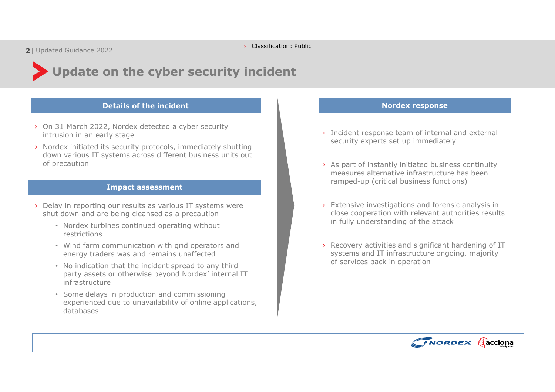# Update on the cyber security incident On the cyber security incident<br>
Details of the incident<br>
Details of the incident<br>
2, Nordex response team of internal and external<br>
Nordex response<br>
Security stage<br>
Security experts set up immediately<br>
Security experts set

- › On 31 March 2022, Nordex detected a cyber security intrusion in an early stage
- › Nordex initiated its security protocols, immediately shutting down various IT systems across different business units out of precaution

#### Impact assessment

- › Delay in reporting our results as various IT systems were shut down and are being cleansed as a precaution
	- Nordex turbines continued operating without restrictions
	- Wind farm communication with grid operators and energy traders was and remains unaffected
	- No indication that the incident spread to any thirdparty assets or otherwise beyond Nordex' internal IT infrastructure
	- Some delays in production and commissioning experienced due to unavailability of online applications, databases

- › Incident response team of internal and external security experts set up immediately
- › As part of instantly initiated business continuity measures alternative infrastructure has been ramped-up (critical business functions)
- › Extensive investigations and forensic analysis in close cooperation with relevant authorities results in fully understanding of the attack
- › Recovery activities and significant hardening of IT systems and IT infrastructure ongoing, majority of services back in operation

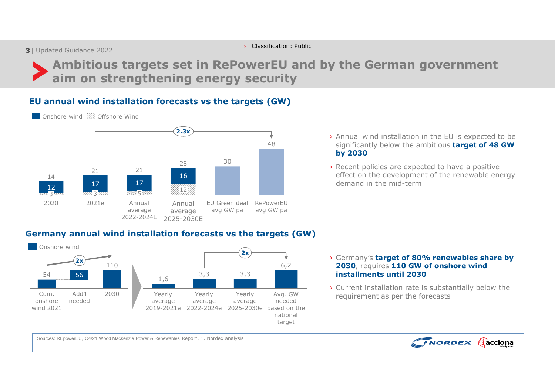**3** | Updated Guidance 2022 | **3 | Updated Guidance 2022** 

› Classification: Public

Annual EU Green deal RePowerEU average avg GW pa avg GW pa

avg GW pa

 $12\frac{1}{200}$  and  $12\frac{1}{200}$  and  $12\frac{1}{200}$  and  $12\frac{1}{200}$ 

2025-2030E 2022-2024E

5

# <sup>ted Guidance 2022<br>Ambitious targets set in RePowerEU and by the German government<br>aim on strengthening energy security<br>nnual wind installation forecasts vs the targets (GW)</sup> aim on strengthening energy security 30 48 Significantly below the ambitious **target of 48 GW** 21 21 21 22 22 22 22 23 24 25 26 27 28 29 20 21 22 22 23 24 25 26 27 28 29 20 21 22 23 24 25 26 27 27 27 27 27 28  $\frac{30}{20}$  $2.3x$  and  $2.3x$ › Annual wind installation in the EU is expected to be EU annual wind installation forecasts vs the targets (GW) Onshore wind Offshore Wind

 $16$  and  $16$  and  $16$  and  $16$  and  $16$  and  $16$  and  $16$  and  $16$  and  $16$  and  $16$  and  $16$  and  $16$  and  $16$  and  $16$  and  $16$  and  $16$  and  $16$  and  $16$  and  $16$  and  $16$  and  $16$  and  $16$  and  $16$  and  $16$  and  $16$  by 2030 › Recent policies are expected to have a positive effect on the development of the renewable energy

demand in the mid-term

Germany annual wind installation forecasts vs the targets (GW) **Onshore** wind

 $\frac{12}{12}$  17  $\frac{17}{12}$  17  $\frac{17}{12}$  17  $\frac{17}{12}$  17  $\frac{17}{12}$  17  $\frac{17}{12}$  17  $\frac{17}{12}$  17  $\frac{17}{12}$  17  $\frac{17}{12}$  17  $\frac{17}{12}$  17  $\frac{17}{12}$  17  $\frac{17}{12}$  17  $\frac{17}{12}$  17  $\frac{17}{12}$  17  $\frac{17}{12}$ 

<u>3 aan - 800 3 000 - 000 - 000 - 000 - 000 - 000 - 000 - 000 - 000 - 000 - 000 - 000 - 000 - 000 - 000 - 000 -</u> Annual average

3<del>aan aan</del> 3aan am 5am amaan

14

2020 2021e



- 3,3 3,3 installments until 2030 6,2 **2030**, requires **110 GW of onshore wind** 
	- Avg. GW requirement as per the forecasts › Current installation rate is substantially below the

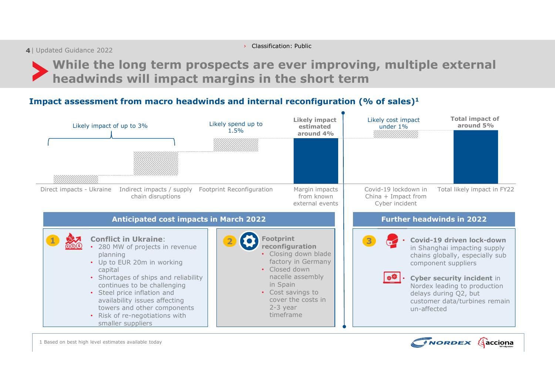| 4 Updated Guidance 2022

› Classification: Public

While the long term prospects are ever improving, multiple external headwinds will impact margins in the short term

#### Impact assessment from macro headwinds and internal reconfiguration (% of sales)<sup>1</sup>



1 Based on best high level estimates available today

![](_page_3_Picture_6.jpeg)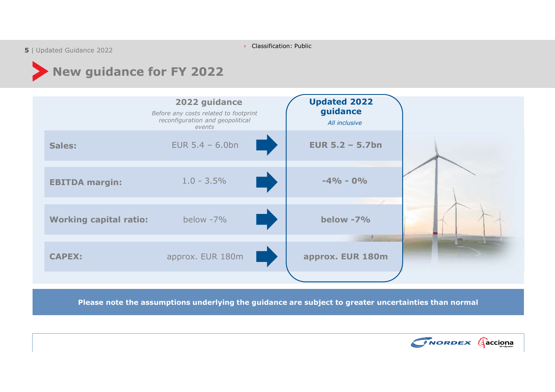› Classification: Public

| 5 Updated Guidance 2022

### New guidance for FY 2022

![](_page_4_Figure_3.jpeg)

Please note the assumptions underlying the guidance are subject to greater uncertainties than normal

![](_page_4_Picture_5.jpeg)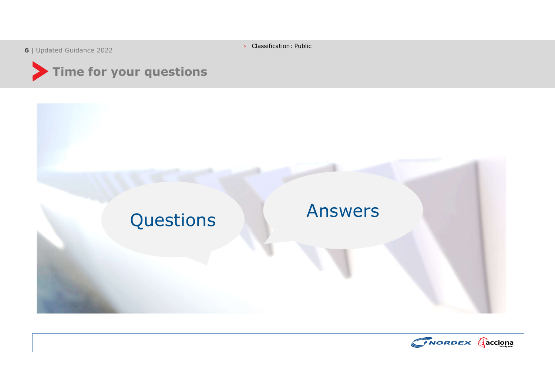| 6 Updated Guidance 2022

› Classification: Public

![](_page_5_Picture_2.jpeg)

![](_page_5_Figure_3.jpeg)

![](_page_5_Picture_4.jpeg)